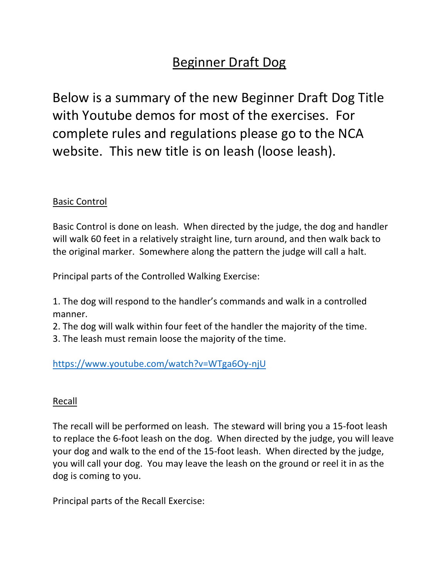# Beginner Draft Dog

Below is a summary of the new Beginner Draft Dog Title with Youtube demos for most of the exercises. For complete rules and regulations please go to the NCA website. This new title is on leash (loose leash).

### Basic Control

Basic Control is done on leash. When directed by the judge, the dog and handler will walk 60 feet in a relatively straight line, turn around, and then walk back to the original marker. Somewhere along the pattern the judge will call a halt.

Principal parts of the Controlled Walking Exercise:

1. The dog will respond to the handler's commands and walk in a controlled manner.

2. The dog will walk within four feet of the handler the majority of the time.

3. The leash must remain loose the majority of the time.

https://www.youtube.com/watch?v=WTga6Oy-njU

#### Recall

The recall will be performed on leash. The steward will bring you a 15-foot leash to replace the 6-foot leash on the dog. When directed by the judge, you will leave your dog and walk to the end of the 15-foot leash. When directed by the judge, you will call your dog. You may leave the leash on the ground or reel it in as the dog is coming to you.

Principal parts of the Recall Exercise: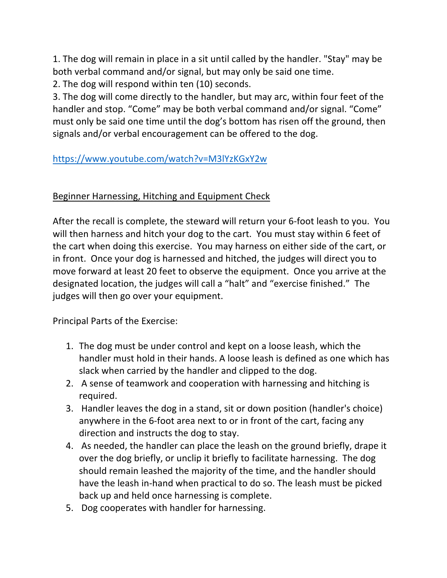1. The dog will remain in place in a sit until called by the handler. "Stay" may be both verbal command and/or signal, but may only be said one time.

2. The dog will respond within ten (10) seconds.

3. The dog will come directly to the handler, but may arc, within four feet of the handler and stop. "Come" may be both verbal command and/or signal. "Come" must only be said one time until the dog's bottom has risen off the ground, then signals and/or verbal encouragement can be offered to the dog.

# https://www.youtube.com/watch?v=M3lYzKGxY2w

# Beginner Harnessing, Hitching and Equipment Check

After the recall is complete, the steward will return your 6-foot leash to you. You will then harness and hitch your dog to the cart. You must stay within 6 feet of the cart when doing this exercise. You may harness on either side of the cart, or in front. Once your dog is harnessed and hitched, the judges will direct you to move forward at least 20 feet to observe the equipment. Once you arrive at the designated location, the judges will call a "halt" and "exercise finished." The judges will then go over your equipment.

Principal Parts of the Exercise:

- 1. The dog must be under control and kept on a loose leash, which the handler must hold in their hands. A loose leash is defined as one which has slack when carried by the handler and clipped to the dog.
- 2. A sense of teamwork and cooperation with harnessing and hitching is required.
- 3. Handler leaves the dog in a stand, sit or down position (handler's choice) anywhere in the 6-foot area next to or in front of the cart, facing any direction and instructs the dog to stay.
- 4. As needed, the handler can place the leash on the ground briefly, drape it over the dog briefly, or unclip it briefly to facilitate harnessing. The dog should remain leashed the majority of the time, and the handler should have the leash in-hand when practical to do so. The leash must be picked back up and held once harnessing is complete.
- 5. Dog cooperates with handler for harnessing.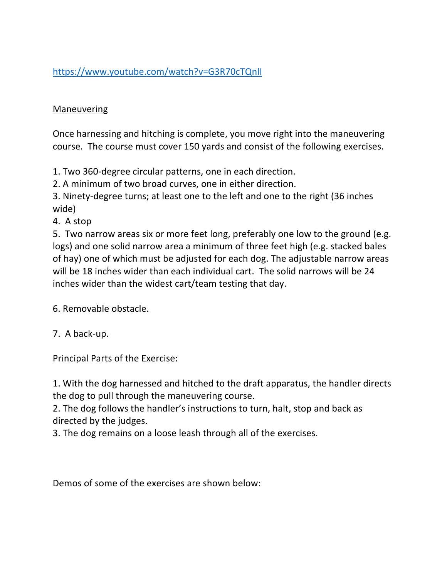https://www.youtube.com/watch?v=G3R70cTQnlI

## Maneuvering

Once harnessing and hitching is complete, you move right into the maneuvering course. The course must cover 150 yards and consist of the following exercises.

1. Two 360-degree circular patterns, one in each direction.

2. A minimum of two broad curves, one in either direction.

3. Ninety-degree turns; at least one to the left and one to the right (36 inches wide)

4. A stop

5. Two narrow areas six or more feet long, preferably one low to the ground (e.g. logs) and one solid narrow area a minimum of three feet high (e.g. stacked bales of hay) one of which must be adjusted for each dog. The adjustable narrow areas will be 18 inches wider than each individual cart. The solid narrows will be 24 inches wider than the widest cart/team testing that day.

6. Removable obstacle.

7. A back-up.

Principal Parts of the Exercise:

1. With the dog harnessed and hitched to the draft apparatus, the handler directs the dog to pull through the maneuvering course.

2. The dog follows the handler's instructions to turn, halt, stop and back as directed by the judges.

3. The dog remains on a loose leash through all of the exercises.

Demos of some of the exercises are shown below: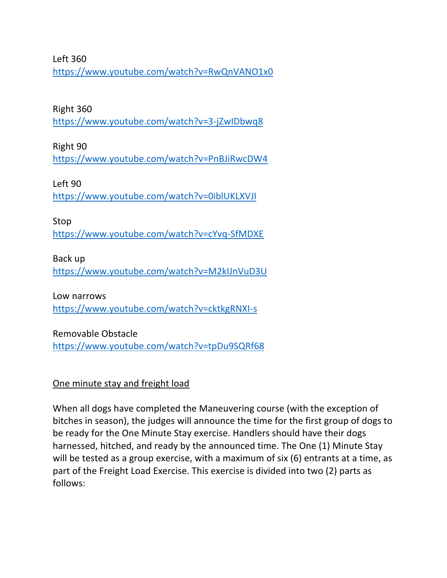Left 360

https://www.youtube.com/watch?v=RwQnVANO1x0

#### Right 360

https://www.youtube.com/watch?v=3-jZwIDbwq8

Right 90

https://www.youtube.com/watch?v=PnBJiRwcDW4

Left 90 https://www.youtube.com/watch?v=0iblUKLXVJI

Stop https://www.youtube.com/watch?v=cYvq-SfMDXE

Back up

https://www.youtube.com/watch?v=M2kIJnVuD3U

Low narrows https://www.youtube.com/watch?v=cktkgRNXI-s

Removable Obstacle https://www.youtube.com/watch?v=tpDu9SQRf68

One minute stay and freight load

When all dogs have completed the Maneuvering course (with the exception of bitches in season), the judges will announce the time for the first group of dogs to be ready for the One Minute Stay exercise. Handlers should have their dogs harnessed, hitched, and ready by the announced time. The One (1) Minute Stay will be tested as a group exercise, with a maximum of six (6) entrants at a time, as part of the Freight Load Exercise. This exercise is divided into two (2) parts as follows: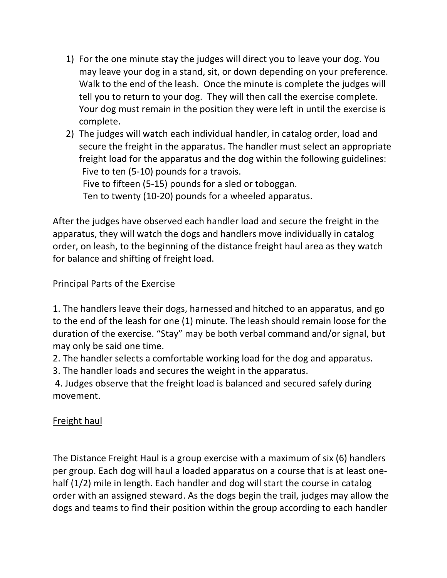- 1) For the one minute stay the judges will direct you to leave your dog. You may leave your dog in a stand, sit, or down depending on your preference. Walk to the end of the leash. Once the minute is complete the judges will tell you to return to your dog. They will then call the exercise complete. Your dog must remain in the position they were left in until the exercise is complete.
- 2) The judges will watch each individual handler, in catalog order, load and secure the freight in the apparatus. The handler must select an appropriate freight load for the apparatus and the dog within the following guidelines: Five to ten (5-10) pounds for a travois. Five to fifteen (5-15) pounds for a sled or toboggan.

Ten to twenty (10-20) pounds for a wheeled apparatus.

After the judges have observed each handler load and secure the freight in the apparatus, they will watch the dogs and handlers move individually in catalog order, on leash, to the beginning of the distance freight haul area as they watch for balance and shifting of freight load.

Principal Parts of the Exercise

1. The handlers leave their dogs, harnessed and hitched to an apparatus, and go to the end of the leash for one (1) minute. The leash should remain loose for the duration of the exercise. "Stay" may be both verbal command and/or signal, but may only be said one time.

2. The handler selects a comfortable working load for the dog and apparatus.

3. The handler loads and secures the weight in the apparatus.

4. Judges observe that the freight load is balanced and secured safely during movement.

## Freight haul

The Distance Freight Haul is a group exercise with a maximum of six (6) handlers per group. Each dog will haul a loaded apparatus on a course that is at least onehalf (1/2) mile in length. Each handler and dog will start the course in catalog order with an assigned steward. As the dogs begin the trail, judges may allow the dogs and teams to find their position within the group according to each handler